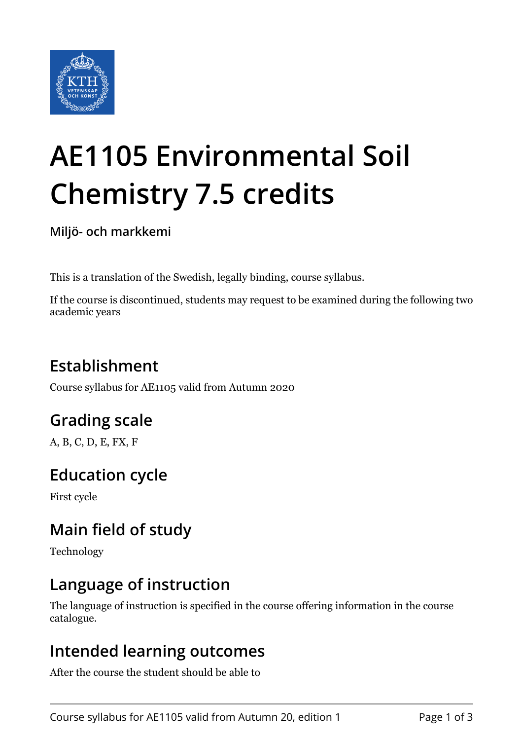

# **AE1105 Environmental Soil Chemistry 7.5 credits**

**Miljö- och markkemi**

This is a translation of the Swedish, legally binding, course syllabus.

If the course is discontinued, students may request to be examined during the following two academic years

# **Establishment**

Course syllabus for AE1105 valid from Autumn 2020

## **Grading scale**

A, B, C, D, E, FX, F

## **Education cycle**

First cycle

## **Main field of study**

Technology

### **Language of instruction**

The language of instruction is specified in the course offering information in the course catalogue.

#### **Intended learning outcomes**

After the course the student should be able to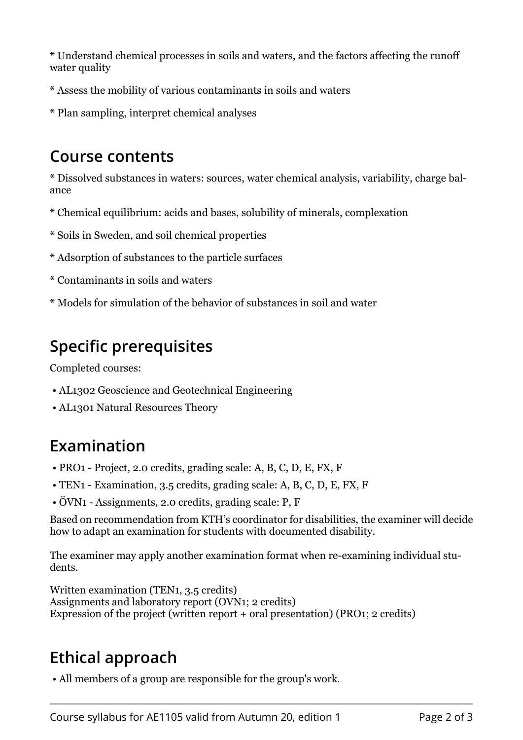**\*** Understand chemical processes in soils and waters, and the factors affecting the runoff water quality

- **\*** Assess the mobility of various contaminants in soils and waters
- **\*** Plan sampling, interpret chemical analyses

#### **Course contents**

**\*** Dissolved substances in waters: sources, water chemical analysis, variability, charge balance

- **\*** Chemical equilibrium: acids and bases, solubility of minerals, complexation
- **\*** Soils in Sweden, and soil chemical properties
- **\*** Adsorption of substances to the particle surfaces
- **\*** Contaminants in soils and waters
- **\*** Models for simulation of the behavior of substances in soil and water

## **Specific prerequisites**

Completed courses:

- AL1302 Geoscience and Geotechnical Engineering
- AL1301 Natural Resources Theory

## **Examination**

- PRO1 Project, 2.0 credits, grading scale: A, B, C, D, E, FX, F
- TEN1 Examination, 3.5 credits, grading scale: A, B, C, D, E, FX, F
- ÖVN1 Assignments, 2.0 credits, grading scale: P, F

Based on recommendation from KTH's coordinator for disabilities, the examiner will decide how to adapt an examination for students with documented disability.

The examiner may apply another examination format when re-examining individual students.

Written examination (TEN1, 3.5 credits) Assignments and laboratory report (OVN1; 2 credits) Expression of the project (written report + oral presentation) (PRO1; 2 credits)

# **Ethical approach**

• All members of a group are responsible for the group's work.